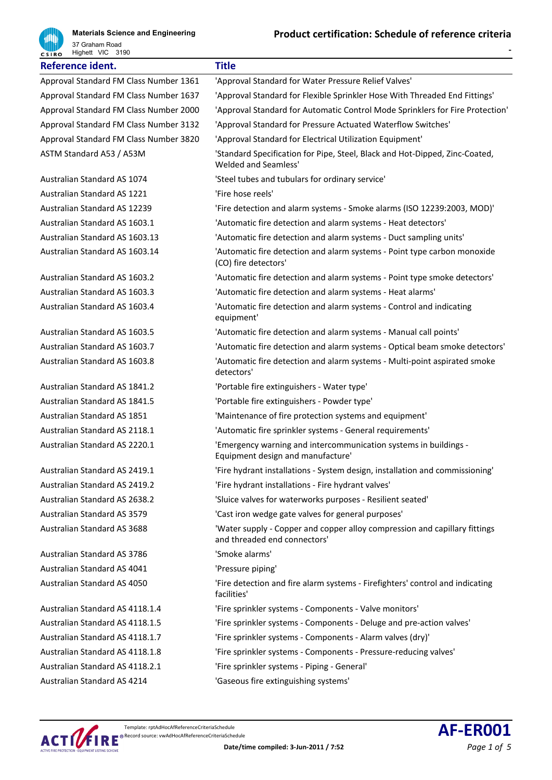

| Highett VIC 3190<br><b>CSIRO</b>       |                                                                                                            |
|----------------------------------------|------------------------------------------------------------------------------------------------------------|
| Reference ident.                       | <b>Title</b>                                                                                               |
| Approval Standard FM Class Number 1361 | 'Approval Standard for Water Pressure Relief Valves'                                                       |
| Approval Standard FM Class Number 1637 | 'Approval Standard for Flexible Sprinkler Hose With Threaded End Fittings'                                 |
| Approval Standard FM Class Number 2000 | 'Approval Standard for Automatic Control Mode Sprinklers for Fire Protection'                              |
| Approval Standard FM Class Number 3132 | 'Approval Standard for Pressure Actuated Waterflow Switches'                                               |
| Approval Standard FM Class Number 3820 | 'Approval Standard for Electrical Utilization Equipment'                                                   |
| ASTM Standard A53 / A53M               | 'Standard Specification for Pipe, Steel, Black and Hot-Dipped, Zinc-Coated,<br><b>Welded and Seamless'</b> |
| Australian Standard AS 1074            | 'Steel tubes and tubulars for ordinary service'                                                            |
| <b>Australian Standard AS 1221</b>     | 'Fire hose reels'                                                                                          |
| <b>Australian Standard AS 12239</b>    | 'Fire detection and alarm systems - Smoke alarms (ISO 12239:2003, MOD)'                                    |
| Australian Standard AS 1603.1          | 'Automatic fire detection and alarm systems - Heat detectors'                                              |
| Australian Standard AS 1603.13         | 'Automatic fire detection and alarm systems - Duct sampling units'                                         |
| Australian Standard AS 1603.14         | 'Automatic fire detection and alarm systems - Point type carbon monoxide<br>(CO) fire detectors'           |
| Australian Standard AS 1603.2          | 'Automatic fire detection and alarm systems - Point type smoke detectors'                                  |
| Australian Standard AS 1603.3          | 'Automatic fire detection and alarm systems - Heat alarms'                                                 |
| Australian Standard AS 1603.4          | 'Automatic fire detection and alarm systems - Control and indicating<br>equipment'                         |
| Australian Standard AS 1603.5          | 'Automatic fire detection and alarm systems - Manual call points'                                          |
| Australian Standard AS 1603.7          | 'Automatic fire detection and alarm systems - Optical beam smoke detectors'                                |
| Australian Standard AS 1603.8          | 'Automatic fire detection and alarm systems - Multi-point aspirated smoke<br>detectors'                    |
| Australian Standard AS 1841.2          | 'Portable fire extinguishers - Water type'                                                                 |
| Australian Standard AS 1841.5          | 'Portable fire extinguishers - Powder type'                                                                |
| Australian Standard AS 1851            | 'Maintenance of fire protection systems and equipment'                                                     |
| Australian Standard AS 2118.1          | 'Automatic fire sprinkler systems - General requirements'                                                  |
| Australian Standard AS 2220.1          | 'Emergency warning and intercommunication systems in buildings -<br>Equipment design and manufacture'      |
| Australian Standard AS 2419.1          | 'Fire hydrant installations - System design, installation and commissioning'                               |
| Australian Standard AS 2419.2          | 'Fire hydrant installations - Fire hydrant valves'                                                         |
| Australian Standard AS 2638.2          | 'Sluice valves for waterworks purposes - Resilient seated'                                                 |
| Australian Standard AS 3579            | 'Cast iron wedge gate valves for general purposes'                                                         |
| Australian Standard AS 3688            | 'Water supply - Copper and copper alloy compression and capillary fittings<br>and threaded end connectors' |
| Australian Standard AS 3786            | 'Smoke alarms'                                                                                             |
| Australian Standard AS 4041            | 'Pressure piping'                                                                                          |
| Australian Standard AS 4050            | 'Fire detection and fire alarm systems - Firefighters' control and indicating<br>facilities'               |
| Australian Standard AS 4118.1.4        | 'Fire sprinkler systems - Components - Valve monitors'                                                     |
| Australian Standard AS 4118.1.5        | 'Fire sprinkler systems - Components - Deluge and pre-action valves'                                       |
| Australian Standard AS 4118.1.7        | 'Fire sprinkler systems - Components - Alarm valves (dry)'                                                 |
| Australian Standard AS 4118.1.8        | 'Fire sprinkler systems - Components - Pressure-reducing valves'                                           |
| Australian Standard AS 4118.2.1        | 'Fire sprinkler systems - Piping - General'                                                                |
|                                        |                                                                                                            |

Australian Standard AS 4214 'Gaseous fire extinguishing systems'



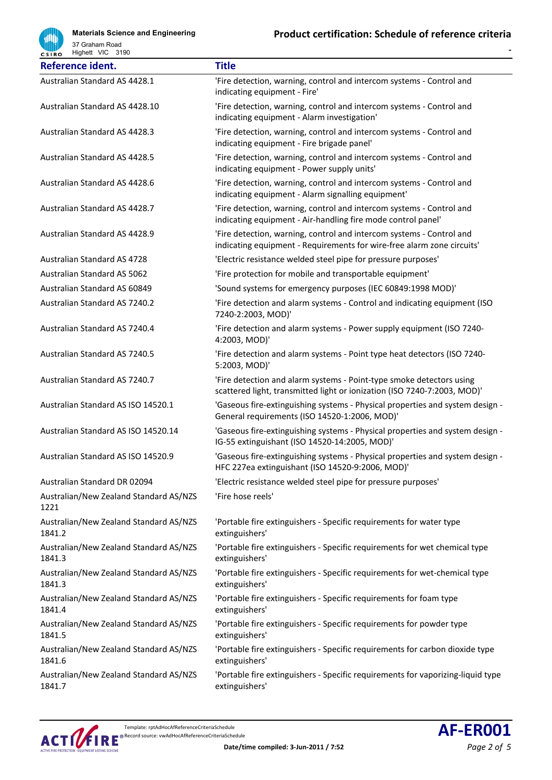

**Materials Science and Engineering** 37 Graham Road Highett VIC 3190

| Reference ident.                                 | <b>Title</b>                                                                                                                                     |
|--------------------------------------------------|--------------------------------------------------------------------------------------------------------------------------------------------------|
| Australian Standard AS 4428.1                    | 'Fire detection, warning, control and intercom systems - Control and<br>indicating equipment - Fire'                                             |
| Australian Standard AS 4428.10                   | 'Fire detection, warning, control and intercom systems - Control and<br>indicating equipment - Alarm investigation'                              |
| Australian Standard AS 4428.3                    | 'Fire detection, warning, control and intercom systems - Control and<br>indicating equipment - Fire brigade panel'                               |
| Australian Standard AS 4428.5                    | 'Fire detection, warning, control and intercom systems - Control and<br>indicating equipment - Power supply units'                               |
| Australian Standard AS 4428.6                    | 'Fire detection, warning, control and intercom systems - Control and<br>indicating equipment - Alarm signalling equipment'                       |
| Australian Standard AS 4428.7                    | 'Fire detection, warning, control and intercom systems - Control and<br>indicating equipment - Air-handling fire mode control panel'             |
| Australian Standard AS 4428.9                    | 'Fire detection, warning, control and intercom systems - Control and<br>indicating equipment - Requirements for wire-free alarm zone circuits'   |
| <b>Australian Standard AS 4728</b>               | 'Electric resistance welded steel pipe for pressure purposes'                                                                                    |
| <b>Australian Standard AS 5062</b>               | 'Fire protection for mobile and transportable equipment'                                                                                         |
| Australian Standard AS 60849                     | 'Sound systems for emergency purposes (IEC 60849:1998 MOD)'                                                                                      |
| Australian Standard AS 7240.2                    | 'Fire detection and alarm systems - Control and indicating equipment (ISO<br>7240-2:2003, MOD)'                                                  |
| Australian Standard AS 7240.4                    | 'Fire detection and alarm systems - Power supply equipment (ISO 7240-<br>4:2003, MOD)'                                                           |
| Australian Standard AS 7240.5                    | 'Fire detection and alarm systems - Point type heat detectors (ISO 7240-<br>5:2003, MOD)'                                                        |
| Australian Standard AS 7240.7                    | 'Fire detection and alarm systems - Point-type smoke detectors using<br>scattered light, transmitted light or ionization (ISO 7240-7:2003, MOD)' |
| Australian Standard AS ISO 14520.1               | 'Gaseous fire-extinguishing systems - Physical properties and system design -<br>General requirements (ISO 14520-1:2006, MOD)'                   |
| Australian Standard AS ISO 14520.14              | 'Gaseous fire-extinguishing systems - Physical properties and system design -<br>IG-55 extinguishant (ISO 14520-14:2005, MOD)'                   |
| Australian Standard AS ISO 14520.9               | 'Gaseous fire-extinguishing systems - Physical properties and system design -<br>HFC 227ea extinguishant (ISO 14520-9:2006, MOD)'                |
| Australian Standard DR 02094                     | 'Electric resistance welded steel pipe for pressure purposes'                                                                                    |
| Australian/New Zealand Standard AS/NZS<br>1221   | 'Fire hose reels'                                                                                                                                |
| Australian/New Zealand Standard AS/NZS<br>1841.2 | 'Portable fire extinguishers - Specific requirements for water type<br>extinguishers'                                                            |
| Australian/New Zealand Standard AS/NZS<br>1841.3 | 'Portable fire extinguishers - Specific requirements for wet chemical type<br>extinguishers'                                                     |
| Australian/New Zealand Standard AS/NZS<br>1841.3 | 'Portable fire extinguishers - Specific requirements for wet-chemical type<br>extinguishers'                                                     |
| Australian/New Zealand Standard AS/NZS<br>1841.4 | 'Portable fire extinguishers - Specific requirements for foam type<br>extinguishers'                                                             |
| Australian/New Zealand Standard AS/NZS<br>1841.5 | 'Portable fire extinguishers - Specific requirements for powder type<br>extinguishers'                                                           |
| Australian/New Zealand Standard AS/NZS<br>1841.6 | 'Portable fire extinguishers - Specific requirements for carbon dioxide type<br>extinguishers'                                                   |
| Australian/New Zealand Standard AS/NZS<br>1841.7 | 'Portable fire extinguishers - Specific requirements for vaporizing-liquid type<br>extinguishers'                                                |

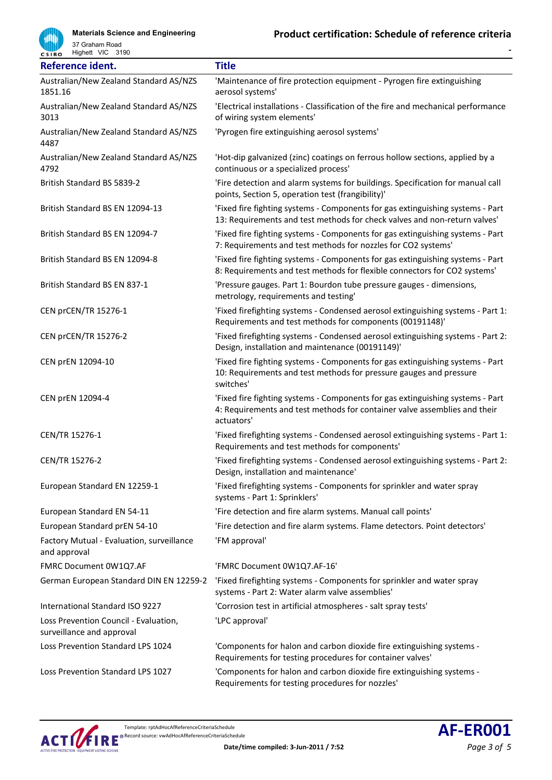

37 Graham Road Highett VIC 3190

| Reference ident.                                                   | <b>Title</b>                                                                                                                                                              |
|--------------------------------------------------------------------|---------------------------------------------------------------------------------------------------------------------------------------------------------------------------|
| Australian/New Zealand Standard AS/NZS<br>1851.16                  | 'Maintenance of fire protection equipment - Pyrogen fire extinguishing<br>aerosol systems'                                                                                |
| Australian/New Zealand Standard AS/NZS<br>3013                     | 'Electrical installations - Classification of the fire and mechanical performance<br>of wiring system elements'                                                           |
| Australian/New Zealand Standard AS/NZS<br>4487                     | 'Pyrogen fire extinguishing aerosol systems'                                                                                                                              |
| Australian/New Zealand Standard AS/NZS<br>4792                     | 'Hot-dip galvanized (zinc) coatings on ferrous hollow sections, applied by a<br>continuous or a specialized process'                                                      |
| British Standard BS 5839-2                                         | 'Fire detection and alarm systems for buildings. Specification for manual call<br>points, Section 5, operation test (frangibility)'                                       |
| British Standard BS EN 12094-13                                    | 'Fixed fire fighting systems - Components for gas extinguishing systems - Part<br>13: Requirements and test methods for check valves and non-return valves'               |
| British Standard BS EN 12094-7                                     | 'Fixed fire fighting systems - Components for gas extinguishing systems - Part<br>7: Requirements and test methods for nozzles for CO2 systems'                           |
| British Standard BS EN 12094-8                                     | 'Fixed fire fighting systems - Components for gas extinguishing systems - Part<br>8: Requirements and test methods for flexible connectors for CO2 systems'               |
| British Standard BS EN 837-1                                       | 'Pressure gauges. Part 1: Bourdon tube pressure gauges - dimensions,<br>metrology, requirements and testing'                                                              |
| CEN prCEN/TR 15276-1                                               | 'Fixed firefighting systems - Condensed aerosol extinguishing systems - Part 1:<br>Requirements and test methods for components (00191148)'                               |
| <b>CEN prCEN/TR 15276-2</b>                                        | 'Fixed firefighting systems - Condensed aerosol extinguishing systems - Part 2:<br>Design, installation and maintenance (00191149)'                                       |
| CEN prEN 12094-10                                                  | 'Fixed fire fighting systems - Components for gas extinguishing systems - Part<br>10: Requirements and test methods for pressure gauges and pressure<br>switches'         |
| CEN prEN 12094-4                                                   | 'Fixed fire fighting systems - Components for gas extinguishing systems - Part<br>4: Requirements and test methods for container valve assemblies and their<br>actuators' |
| CEN/TR 15276-1                                                     | 'Fixed firefighting systems - Condensed aerosol extinguishing systems - Part 1:<br>Requirements and test methods for components'                                          |
| CEN/TR 15276-2                                                     | 'Fixed firefighting systems - Condensed aerosol extinguishing systems - Part 2:<br>Design, installation and maintenance'                                                  |
| European Standard EN 12259-1                                       | 'Fixed firefighting systems - Components for sprinkler and water spray<br>systems - Part 1: Sprinklers'                                                                   |
| European Standard EN 54-11                                         | 'Fire detection and fire alarm systems. Manual call points'                                                                                                               |
| European Standard prEN 54-10                                       | 'Fire detection and fire alarm systems. Flame detectors. Point detectors'                                                                                                 |
| Factory Mutual - Evaluation, surveillance<br>and approval          | 'FM approval'                                                                                                                                                             |
| FMRC Document 0W1Q7.AF                                             | 'FMRC Document 0W1Q7.AF-16'                                                                                                                                               |
| German European Standard DIN EN 12259-2                            | 'Fixed firefighting systems - Components for sprinkler and water spray<br>systems - Part 2: Water alarm valve assemblies'                                                 |
| International Standard ISO 9227                                    | 'Corrosion test in artificial atmospheres - salt spray tests'                                                                                                             |
| Loss Prevention Council - Evaluation,<br>surveillance and approval | 'LPC approval'                                                                                                                                                            |
| Loss Prevention Standard LPS 1024                                  | 'Components for halon and carbon dioxide fire extinguishing systems -<br>Requirements for testing procedures for container valves'                                        |
| Loss Prevention Standard LPS 1027                                  | 'Components for halon and carbon dioxide fire extinguishing systems -<br>Requirements for testing procedures for nozzles'                                                 |

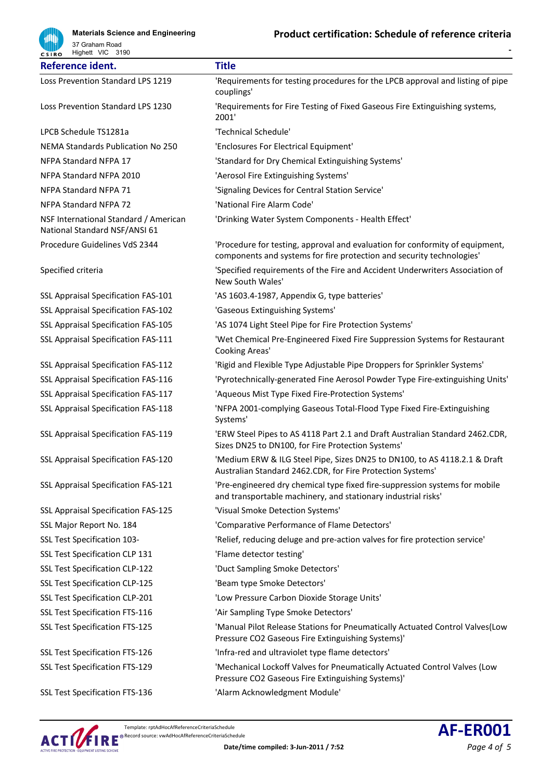

**Materials Science and Engineering** 37 Graham Road Highett VIC 3190

| Reference ident.                                                       | <b>Title</b>                                                                                                                                          |
|------------------------------------------------------------------------|-------------------------------------------------------------------------------------------------------------------------------------------------------|
| Loss Prevention Standard LPS 1219                                      | 'Requirements for testing procedures for the LPCB approval and listing of pipe<br>couplings'                                                          |
| Loss Prevention Standard LPS 1230                                      | 'Requirements for Fire Testing of Fixed Gaseous Fire Extinguishing systems,<br>2001'                                                                  |
| LPCB Schedule TS1281a                                                  | 'Technical Schedule'                                                                                                                                  |
| NEMA Standards Publication No 250                                      | 'Enclosures For Electrical Equipment'                                                                                                                 |
| NFPA Standard NFPA 17                                                  | 'Standard for Dry Chemical Extinguishing Systems'                                                                                                     |
| NFPA Standard NFPA 2010                                                | 'Aerosol Fire Extinguishing Systems'                                                                                                                  |
| NFPA Standard NFPA 71                                                  | 'Signaling Devices for Central Station Service'                                                                                                       |
| <b>NFPA Standard NFPA 72</b>                                           | 'National Fire Alarm Code'                                                                                                                            |
| NSF International Standard / American<br>National Standard NSF/ANSI 61 | 'Drinking Water System Components - Health Effect'                                                                                                    |
| Procedure Guidelines VdS 2344                                          | 'Procedure for testing, approval and evaluation for conformity of equipment,<br>components and systems for fire protection and security technologies' |
| Specified criteria                                                     | 'Specified requirements of the Fire and Accident Underwriters Association of<br>New South Wales'                                                      |
| SSL Appraisal Specification FAS-101                                    | 'AS 1603.4-1987, Appendix G, type batteries'                                                                                                          |
| SSL Appraisal Specification FAS-102                                    | 'Gaseous Extinguishing Systems'                                                                                                                       |
| SSL Appraisal Specification FAS-105                                    | 'AS 1074 Light Steel Pipe for Fire Protection Systems'                                                                                                |
| SSL Appraisal Specification FAS-111                                    | 'Wet Chemical Pre-Engineered Fixed Fire Suppression Systems for Restaurant<br>Cooking Areas'                                                          |
| <b>SSL Appraisal Specification FAS-112</b>                             | 'Rigid and Flexible Type Adjustable Pipe Droppers for Sprinkler Systems'                                                                              |
| SSL Appraisal Specification FAS-116                                    | 'Pyrotechnically-generated Fine Aerosol Powder Type Fire-extinguishing Units'                                                                         |
| SSL Appraisal Specification FAS-117                                    | 'Aqueous Mist Type Fixed Fire-Protection Systems'                                                                                                     |
| <b>SSL Appraisal Specification FAS-118</b>                             | 'NFPA 2001-complying Gaseous Total-Flood Type Fixed Fire-Extinguishing<br>Systems'                                                                    |
| SSL Appraisal Specification FAS-119                                    | 'ERW Steel Pipes to AS 4118 Part 2.1 and Draft Australian Standard 2462.CDR,<br>Sizes DN25 to DN100, for Fire Protection Systems'                     |
| SSL Appraisal Specification FAS-120                                    | 'Medium ERW & ILG Steel Pipe, Sizes DN25 to DN100, to AS 4118.2.1 & Draft<br>Australian Standard 2462.CDR, for Fire Protection Systems'               |
| SSL Appraisal Specification FAS-121                                    | 'Pre-engineered dry chemical type fixed fire-suppression systems for mobile<br>and transportable machinery, and stationary industrial risks'          |
| <b>SSL Appraisal Specification FAS-125</b>                             | 'Visual Smoke Detection Systems'                                                                                                                      |
| SSL Major Report No. 184                                               | 'Comparative Performance of Flame Detectors'                                                                                                          |
| SSL Test Specification 103-                                            | 'Relief, reducing deluge and pre-action valves for fire protection service'                                                                           |
| SSL Test Specification CLP 131                                         | 'Flame detector testing'                                                                                                                              |
| SSL Test Specification CLP-122                                         | 'Duct Sampling Smoke Detectors'                                                                                                                       |
| SSL Test Specification CLP-125                                         | 'Beam type Smoke Detectors'                                                                                                                           |
| SSL Test Specification CLP-201                                         | 'Low Pressure Carbon Dioxide Storage Units'                                                                                                           |
| SSL Test Specification FTS-116                                         | 'Air Sampling Type Smoke Detectors'                                                                                                                   |
| SSL Test Specification FTS-125                                         | 'Manual Pilot Release Stations for Pneumatically Actuated Control Valves(Low<br>Pressure CO2 Gaseous Fire Extinguishing Systems)'                     |
| SSL Test Specification FTS-126                                         | 'Infra-red and ultraviolet type flame detectors'                                                                                                      |
| SSL Test Specification FTS-129                                         | 'Mechanical Lockoff Valves for Pneumatically Actuated Control Valves (Low<br>Pressure CO2 Gaseous Fire Extinguishing Systems)'                        |
| SSL Test Specification FTS-136                                         | 'Alarm Acknowledgment Module'                                                                                                                         |



Template: rptAdHocAfReferenceCriteriaSchedule Template: rptAdHocAfReferenceCriteriaSchedule **AF-ER001**